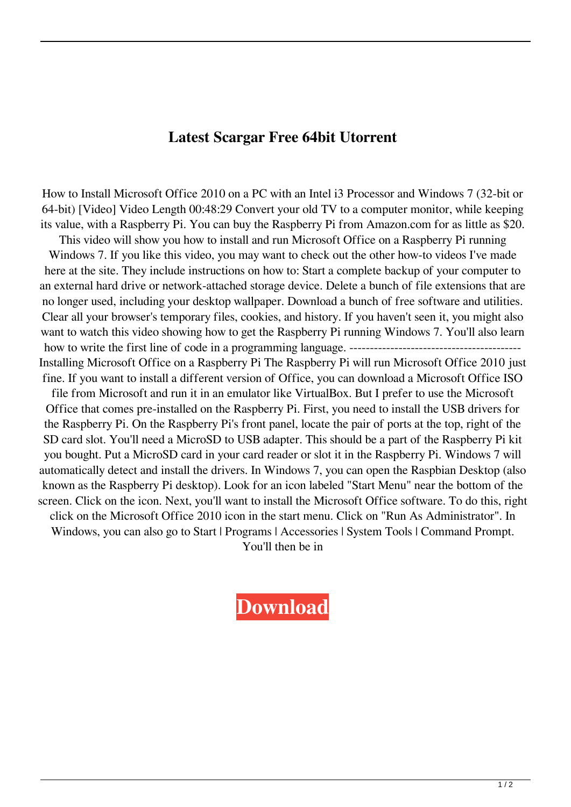## **Latest Scargar Free 64bit Utorrent**

How to Install Microsoft Office 2010 on a PC with an Intel i3 Processor and Windows 7 (32-bit or 64-bit) [Video] Video Length 00:48:29 Convert your old TV to a computer monitor, while keeping its value, with a Raspberry Pi. You can buy the Raspberry Pi from Amazon.com for as little as \$20.

This video will show you how to install and run Microsoft Office on a Raspberry Pi running Windows 7. If you like this video, you may want to check out the other how-to videos I've made here at the site. They include instructions on how to: Start a complete backup of your computer to an external hard drive or network-attached storage device. Delete a bunch of file extensions that are no longer used, including your desktop wallpaper. Download a bunch of free software and utilities. Clear all your browser's temporary files, cookies, and history. If you haven't seen it, you might also want to watch this video showing how to get the Raspberry Pi running Windows 7. You'll also learn how to write the first line of code in a programming language. ------------------------------------------ Installing Microsoft Office on a Raspberry Pi The Raspberry Pi will run Microsoft Office 2010 just fine. If you want to install a different version of Office, you can download a Microsoft Office ISO

file from Microsoft and run it in an emulator like VirtualBox. But I prefer to use the Microsoft Office that comes pre-installed on the Raspberry Pi. First, you need to install the USB drivers for the Raspberry Pi. On the Raspberry Pi's front panel, locate the pair of ports at the top, right of the SD card slot. You'll need a MicroSD to USB adapter. This should be a part of the Raspberry Pi kit you bought. Put a MicroSD card in your card reader or slot it in the Raspberry Pi. Windows 7 will automatically detect and install the drivers. In Windows 7, you can open the Raspbian Desktop (also known as the Raspberry Pi desktop). Look for an icon labeled "Start Menu" near the bottom of the screen. Click on the icon. Next, you'll want to install the Microsoft Office software. To do this, right click on the Microsoft Office 2010 icon in the start menu. Click on "Run As Administrator". In Windows, you can also go to Start | Programs | Accessories | System Tools | Command Prompt.

You'll then be in